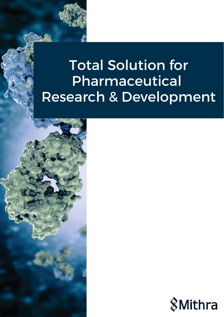# Total Solution for Pharmaceutical Research & Development



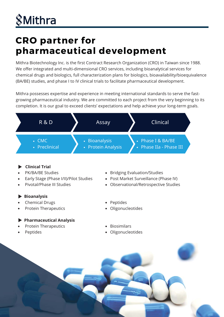# **&Mithra**

## **CRO partner for pharmaceutical development**

Mithra Biotechnology Inc. is the first Contract Research Organization (CRO) in Taiwan since 1988. We offer integrated and multi-dimensional CRO services, including bioanalytical services for chemical drugs and biologics, full characterization plans for biologics, bioavailability/bioequivalence (BA/BE) studies, and phase I to IV clinical trials to facilitate pharmaceutical development.

Mithra possesses expertise and experience in meeting international standards to serve the fastgrowing pharmaceutical industry. We are committed to each project from the very beginning to its completion. It is our goal to exceed clients' expectations and help achieve your long-term goals.



- **Clinical Trial**
- PK/BA/BE Studies
- Early Stage (Phase I/II)/Pilot Studies
- Pivotal/Phase III Studies
- **Bioanalysis**
- Chemical Drugs
- Protein Therapeutics

#### **Pharmaceutical Analysis**

- Protein Therapeutics
- Peptides
- Bridging Evaluation/Studies
- Post Market Surveillance (Phase IV)
- Observational/Retrospective Studies
- Peptides
- Oligonucleotides
- Biosimilars
- Oligonucleotides

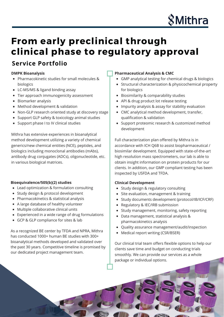

## **From early preclinical through clinical phase to regulatory approval**

### **Service Portfolio**

#### **DMPK Bioanalysis**

- Pharmacokinetic studies for small molecules & biologics
- LC-MS/MS & ligand binding assay
- Tier approach immunogenicity assessment
- Biomarker analysis
- Method development & validation
- Non-GLP research oriented study at discovery stage
- Support GLP safety & toxicology animal studies
- Support phase I to IV clinical studies

Mithra has extensive experiences in bioanalytical method development utilizing a variety of chemical generics/new chemical entities (NCE), peptides, and biologics including monoclonal antibodies (mAbs), antibody drug conjugates (ADCs), oligonucleotide, etc. in various biological matrices.

#### **Bioequivalence/505(b)(2) studies**

- Lead optimization & formulation consulting
- Study design & protocol development
- Pharmacokinetics & statistical analysis
- A large database of healthy volunteer
- Multiple collaborative clinical units
- Experienced in a wide range of drug formulations
- GCP & GLP compliance for sites & lab

As a recognized BE center by TFDA and NPRA, Mithra has conducted 1000+ human BE studies with 300+ bioanalytical methods developed and validated over the past 30 years. Competitive timeline is promised by our dedicated project management team.

#### **Pharmaceutical Analysis & CMC**

- GMP analytical testing for chemical drugs & biologics
- Structural characterization & physicochemical property for biologics
- Biosimilarity & comparability studies
- API & drug product lot release testing
- Impurity analysis & assay for stability evaluation
- CMC analytical method development, transfer, qualification & validation
- Support proteomic research & customized method development

Full characterization plan offered by Mithra is in accordance with ICH Q6B to assist biopharmaceutical / biosimilar development. Equipped with state-of-the-art high resolution mass spectrometers, our lab is able to obtain insight information on protein products for our clients. In addition, our GMP compliant testing has been inspected by USFDA and TFDA.

#### **Clinical Development**

- Study design & regulatory consulting
- Site evaluation, management & training
- Study documents development (protocol/IB/ICF/CRF)
- Regulatory & IEC/IRB submission
- Study management, monitoring, safety reporting
- Data management, statistical analysis & pharmacokinetics analysis
- Quality assurance management/audit/inspection
- Medical report writing (CSR/BSER)

Our clinical trial team offers flexible options to help our clients save time and budget on conducting trials smoothly.-We can provide our services as a whole package or individual options.